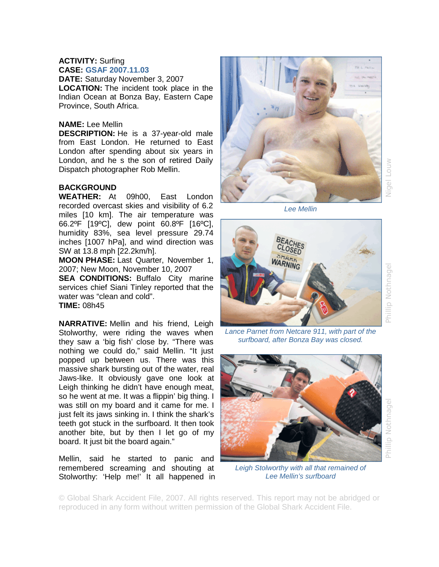## **ACTIVITY:** Surfing **CASE: GSAF 2007.11.03**

**DATE:** Saturday November 3, 2007 **LOCATION:** The incident took place in the Indian Ocean at Bonza Bay, Eastern Cape Province, South Africa.

## **NAME:** Lee Mellin

**DESCRIPTION:** He is a 37-year-old male from East London. He returned to East London after spending about six years in London, and he s the son of retired Daily Dispatch photographer Rob Mellin.

## **BACKGROUND**

**WEATHER:** At 09h00, East London recorded overcast skies and visibility of 6.2 miles [10 km]. The air temperature was 66.2ºF [19ºC], dew point 60.8ºF [16ºC], humidity 83%, sea level pressure 29.74 inches [1007 hPa], and wind direction was SW at 13.8 mph [22.2km/h].

**MOON PHASE:** Last Quarter, November 1, 2007; New Moon, November 10, 2007

**SEA CONDITIONS: Buffalo City marine** services chief Siani Tinley reported that the water was "clean and cold". **TIME:** 08h45

**NARRATIVE:** Mellin and his friend, Leigh Stolworthy, were riding the waves when they saw a 'big fish' close by. "There was nothing we could do," said Mellin. "It just popped up between us. There was this massive shark bursting out of the water, real Jaws-like. It obviously gave one look at Leigh thinking he didn't have enough meat, so he went at me. It was a flippin' big thing. I was still on my board and it came for me. I just felt its jaws sinking in. I think the shark's teeth got stuck in the surfboard. It then took another bite, but by then I let go of my board. It just bit the board again."

Mellin, said he started to panic and remembered screaming and shouting at Stolworthy: 'Help me!' It all happened in



Nigel Louw

*Lee Mellin* 



Phillip Nothnage

*Lance Parnet from Netcare 911, with part of the surfboard, after Bonza Bay was closed.* 



*Leigh Stolworthy with all that remained of Lee Mellin's surfboard* 

© Global Shark Accident File, 2007. All rights reserved. This report may not be abridged or reproduced in any form without written permission of the Global Shark Accident File.